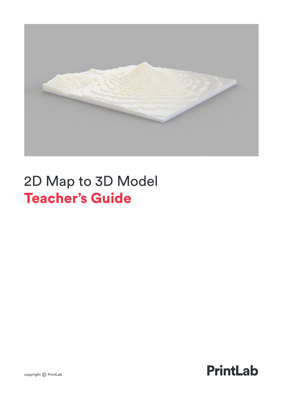

# 2D Map to 3D Model Teacher's Guide

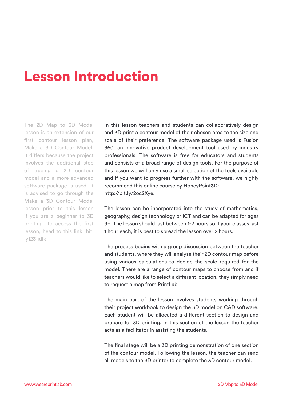## Lesson Introduction

The 2D Map to 3D Model lesson is an extension of our first contour lesson plan, Make a 3D Contour Model. It differs because the project involves the additional step of tracing a 2D contour model and a more advanced software package is used. It is advised to go through the Make a 3D Contour Model lesson prior to this lesson if you are a beginner to 3D printing. To access the first lesson, head to this link: bit. ly123-idlk

In this lesson teachers and students can collaboratively design and 3D print a contour model of their chosen area to the size and scale of their preference. The software package used is Fusion 360, an innovative product development tool used by industry professionals. The software is free for educators and students and consists of a broad range of design tools. For the purpose of this lesson we will only use a small selection of the tools available and if you want to progress further with the software, we highly recommend this online course by HoneyPoint3D: http://bit.ly/2oc2Xye.

The lesson can be incorporated into the study of mathematics, geography, design technology or ICT and can be adapted for ages 9+. The lesson should last between 1-2 hours so if your classes last 1 hour each, it is best to spread the lesson over 2 hours.

The process begins with a group discussion between the teacher and students, where they will analyse their 2D contour map before using various calculations to decide the scale required for the model. There are a range of contour maps to choose from and if teachers would like to select a different location, they simply need to request a map from PrintLab.

The main part of the lesson involves students working through their project workbook to design the 3D model on CAD software. Each student will be allocated a different section to design and prepare for 3D printing. In this section of the lesson the teacher acts as a facilitator in assisting the students.

The final stage will be a 3D printing demonstration of one section of the contour model. Following the lesson, the teacher can send all models to the 3D printer to complete the 3D contour model.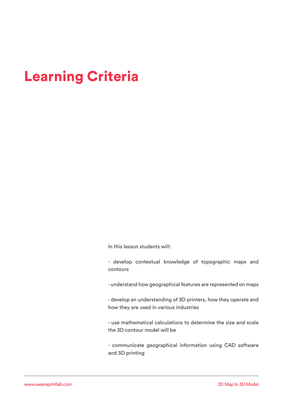## Learning Criteria

In this lesson students will:

- develop contextual knowledge of topographic maps and contours

- understand how geographical features are represented on maps

- develop an understanding of 3D printers, how they operate and how they are used in various industries

- use mathematical calculations to determine the size and scale the 3D contour model will be

- communicate geographical information using CAD software and 3D printing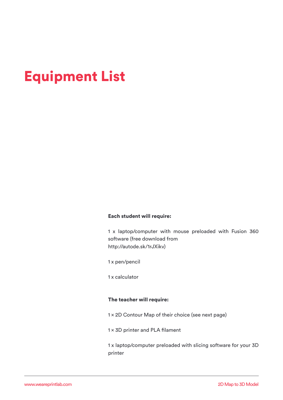## Equipment List

#### Each student will require:

1 x laptop/computer with mouse preloaded with Fusion 360 software (free download from http://autode.sk/1rJXikv)

1 x pen/pencil

1 x calculator

#### The teacher will require:

1 x 2D Contour Map of their choice (see next page)

1 x 3D printer and PLA filament

1 x laptop/computer preloaded with slicing software for your 3D printer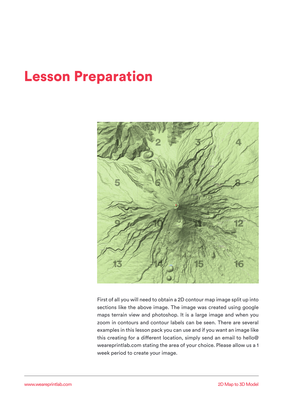## Lesson Preparation



First of all you will need to obtain a 2D contour map image split up into sections like the above image. The image was created using google maps terrain view and photoshop. It is a large image and when you zoom in contours and contour labels can be seen. There are several examples in this lesson pack you can use and if you want an image like this creating for a different location, simply send an email to hello@ weareprintlab.com stating the area of your choice. Please allow us a 1 week period to create your image.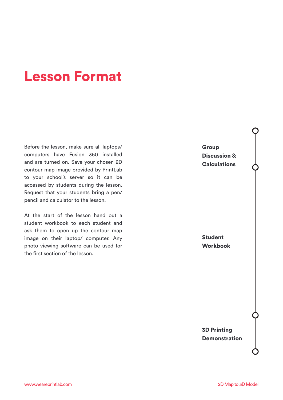## Lesson Format

Before the lesson, make sure all laptops/ computers have Fusion 360 installed and are turned on. Save your chosen 2D contour map image provided by PrintLab to your school's server so it can be accessed by students during the lesson. Request that your students bring a pen/ pencil and calculator to the lesson.

At the start of the lesson hand out a student workbook to each student and ask them to open up the contour map image on their laptop/ computer. Any photo viewing software can be used for the first section of the lesson.

Group Discussion & **Calculations** 

Student Workbook

3D Printing Demonstration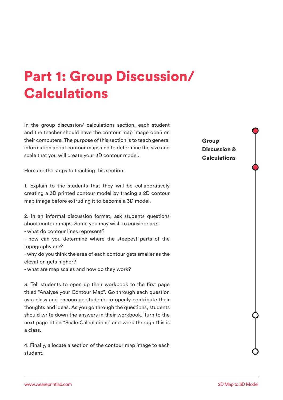# Part 1: Group Discussion/ **Calculations**

In the group discussion/ calculations section, each student and the teacher should have the contour map image open on their computers. The purpose of this section is to teach general information about contour maps and to determine the size and scale that you will create your 3D contour model.

Here are the steps to teaching this section:

1. Explain to the students that they will be collaboratively creating a 3D printed contour model by tracing a 2D contour map image before extruding it to become a 3D model.

2. In an informal discussion format, ask students questions about contour maps. Some you may wish to consider are:

- what do contour lines represent?

- how can you determine where the steepest parts of the topography are?

- why do you think the area of each contour gets smaller as the elevation gets higher?

- what are map scales and how do they work?

3. Tell students to open up their workbook to the first page titled "Analyse your Contour Map". Go through each question as a class and encourage students to openly contribute their thoughts and ideas. As you go through the questions, students should write down the answers in their workbook. Turn to the next page titled "Scale Calculations" and work through this is a class.

4. Finally, allocate a section of the contour map image to each student.

#### Group Discussion & **Calculations**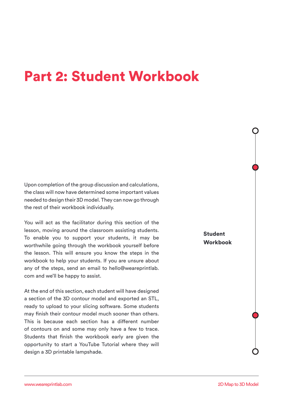#### Part 2: Student Workbook

Upon completion of the group discussion and calculations, the class will now have determined some important values needed to design their 3D model. They can now go through the rest of their workbook individually.

You will act as the facilitator during this section of the lesson, moving around the classroom assisting students. To enable you to support your students, it may be worthwhile going through the workbook yourself before the lesson. This will ensure you know the steps in the workbook to help your students. If you are unsure about any of the steps, send an email to hello@weareprintlab. com and we'll be happy to assist.

At the end of this section, each student will have designed a section of the 3D contour model and exported an STL, ready to upload to your slicing software. Some students may finish their contour model much sooner than others. This is because each section has a different number of contours on and some may only have a few to trace. Students that finish the workbook early are given the opportunity to start a YouTube Tutorial where they will design a 3D printable lampshade.

Student Workbook